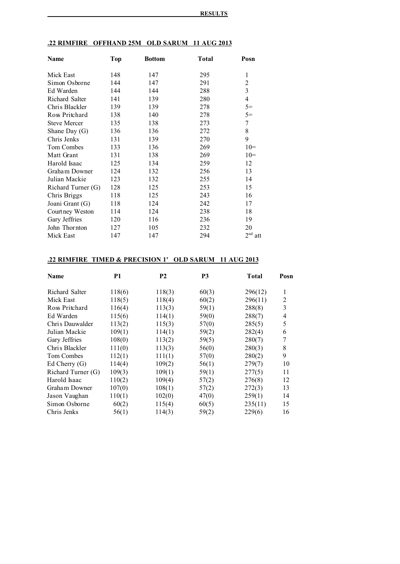| Name                | <b>Top</b> | <b>Bottom</b> | <b>Total</b> | Posn      |
|---------------------|------------|---------------|--------------|-----------|
| Mick East           | 148        | 147           | 295          | 1         |
| Simon Osborne       | 144        | 147           | 291          | 2         |
| Ed Warden           | 144        | 144           | 288          | 3         |
| Richard Salter      | 141        | 139           | 280          | 4         |
| Chris Blackler      | 139        | 139           | 278          | $5=$      |
| Ross Pritchard      | 138        | 140           | 278          | $5=$      |
| <b>Steve Mercer</b> | 135        | 138           | 273          | 7         |
| Shane Day $(G)$     | 136        | 136           | 272          | 8         |
| Chris Jenks         | 131        | 139           | 270          | 9         |
| Tom Combes          | 133        | 136           | 269          | $10=$     |
| Matt Grant          | 131        | 138           | 269          | $10=$     |
| Harold Isaac        | 125        | 134           | 259          | 12        |
| Graham Downer       | 124        | 132           | 256          | 13        |
| Julian Mackie       | 123        | 132           | 255          | 14        |
| Richard Turner (G)  | 128        | 125           | 253          | 15        |
| Chris Briggs        | 118        | 125           | 243          | 16        |
| Joani Grant (G)     | 118        | 124           | 242          | 17        |
| Courtney Weston     | 114        | 124           | 238          | 18        |
| Gary Jeffries       | 120        | 116           | 236          | 19        |
| John Thornton       | 127        | 105           | 232          | 20        |
| Mick East           | 147        | 147           | 294          | $2nd$ att |

## **.22 RIMFIRE OFFHAND 25M OLD SARUM 11 AUG 2013**

## **.22 RIMFIRE TIMED & PRECISION 1' OLD SARUM 11 AUG 2013**

| <b>Name</b>        | <b>P1</b> | <b>P2</b> | <b>P3</b> | <b>Total</b> | Posn |
|--------------------|-----------|-----------|-----------|--------------|------|
| Richard Salter     | 118(6)    | 118(3)    | 60(3)     | 296(12)      | 1    |
| Mick East          | 118(5)    | 118(4)    | 60(2)     | 296(11)      | 2    |
| Ross Pritchard     | 116(4)    | 113(3)    | 59(1)     | 288(8)       | 3    |
| Ed Warden          | 115(6)    | 114(1)    | 59(0)     | 288(7)       | 4    |
| Chris Dauwalder    | 113(2)    | 115(3)    | 57(0)     | 285(5)       | 5    |
| Julian Mackie      | 109(1)    | 114(1)    | 59(2)     | 282(4)       | 6    |
| Gary Jeffries      | 108(0)    | 113(2)    | 59(5)     | 280(7)       | 7    |
| Chris Blackler     | 111(0)    | 113(3)    | 56(0)     | 280(3)       | 8    |
| Tom Combes         | 112(1)    | 111(1)    | 57(0)     | 280(2)       | 9    |
| Ed Cherry $(G)$    | 114(4)    | 109(2)    | 56(1)     | 279(7)       | 10   |
| Richard Turner (G) | 109(3)    | 109(1)    | 59(1)     | 277(5)       | 11   |
| Harold Isaac       | 110(2)    | 109(4)    | 57(2)     | 276(8)       | 12   |
| Graham Downer      | 107(0)    | 108(1)    | 57(2)     | 272(3)       | 13   |
| Jason Vaughan      | 110(1)    | 102(0)    | 47(0)     | 259(1)       | 14   |
| Simon Osborne      | 60(2)     | 115(4)    | 60(5)     | 235(11)      | 15   |
| Chris Jenks        | 56(1)     | 114(3)    | 59(2)     | 229(6)       | 16   |